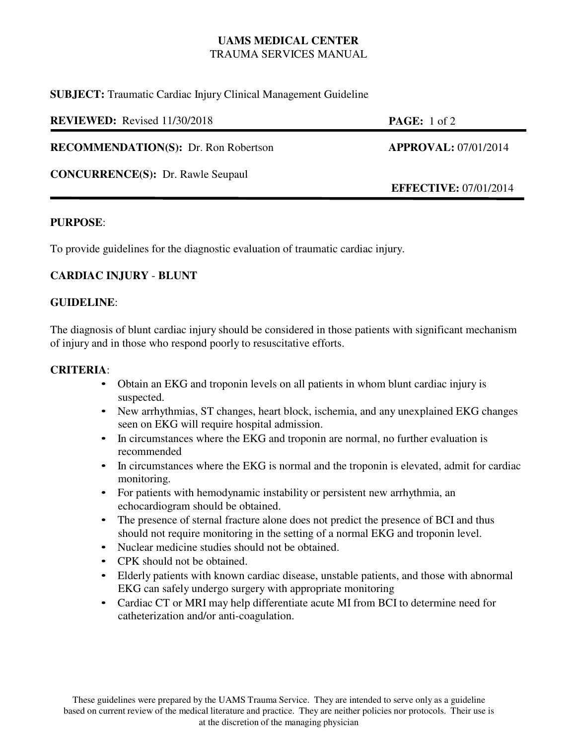# **UAMS MEDICAL CENTER** TRAUMA SERVICES MANUAL

**SUBJECT:** Traumatic Cardiac Injury Clinical Management Guideline

| <b>REVIEWED:</b> Revised 11/30/2018         | <b>PAGE:</b> 1 of 2          |
|---------------------------------------------|------------------------------|
| <b>RECOMMENDATION(S):</b> Dr. Ron Robertson | <b>APPROVAL: 07/01/2014</b>  |
| <b>CONCURRENCE(S): Dr. Rawle Seupaul</b>    | <b>EFFECTIVE: 07/01/2014</b> |

#### **PURPOSE**:

To provide guidelines for the diagnostic evaluation of traumatic cardiac injury.

## **CARDIAC INJURY** - **BLUNT**

#### **GUIDELINE**:

The diagnosis of blunt cardiac injury should be considered in those patients with significant mechanism of injury and in those who respond poorly to resuscitative efforts.

#### **CRITERIA**:

- Obtain an EKG and troponin levels on all patients in whom blunt cardiac injury is suspected.
- New arrhythmias, ST changes, heart block, ischemia, and any unexplained EKG changes seen on EKG will require hospital admission.
- In circumstances where the EKG and troponin are normal, no further evaluation is recommended
- In circumstances where the EKG is normal and the troponin is elevated, admit for cardiac monitoring.
- For patients with hemodynamic instability or persistent new arrhythmia, an echocardiogram should be obtained.
- The presence of sternal fracture alone does not predict the presence of BCI and thus should not require monitoring in the setting of a normal EKG and troponin level.
- Nuclear medicine studies should not be obtained.
- CPK should not be obtained.
- Elderly patients with known cardiac disease, unstable patients, and those with abnormal EKG can safely undergo surgery with appropriate monitoring
- Cardiac CT or MRI may help differentiate acute MI from BCI to determine need for catheterization and/or anti-coagulation.